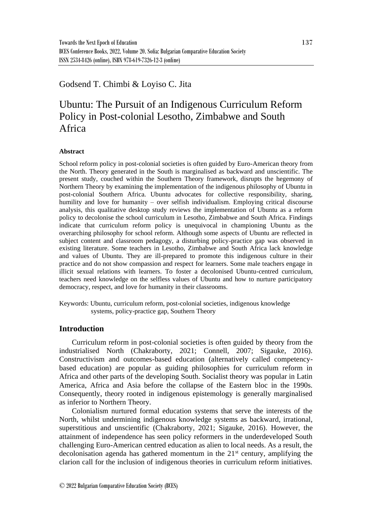## Godsend T. Chimbi & Loyiso C. Jita

# Ubuntu: The Pursuit of an Indigenous Curriculum Reform Policy in Post-colonial Lesotho, Zimbabwe and South Africa

#### **Abstract**

School reform policy in post-colonial societies is often guided by Euro-American theory from the North. Theory generated in the South is marginalised as backward and unscientific. The present study, couched within the Southern Theory framework, disrupts the hegemony of Northern Theory by examining the implementation of the indigenous philosophy of Ubuntu in post-colonial Southern Africa. Ubuntu advocates for collective responsibility, sharing, humility and love for humanity – over selfish individualism. Employing critical discourse analysis, this qualitative desktop study reviews the implementation of Ubuntu as a reform policy to decolonise the school curriculum in Lesotho, Zimbabwe and South Africa. Findings indicate that curriculum reform policy is unequivocal in championing Ubuntu as the overarching philosophy for school reform. Although some aspects of Ubuntu are reflected in subject content and classroom pedagogy, a disturbing policy-practice gap was observed in existing literature. Some teachers in Lesotho, Zimbabwe and South Africa lack knowledge and values of Ubuntu. They are ill-prepared to promote this indigenous culture in their practice and do not show compassion and respect for learners. Some male teachers engage in illicit sexual relations with learners. To foster a decolonised Ubuntu-centred curriculum, teachers need knowledge on the selfless values of Ubuntu and how to nurture participatory democracy, respect, and love for humanity in their classrooms.

Keywords: Ubuntu, curriculum reform, post-colonial societies, indigenous knowledge systems, policy-practice gap, Southern Theory

### **Introduction**

Curriculum reform in post-colonial societies is often guided by theory from the industrialised North (Chakraborty, 2021; Connell, 2007; Sigauke, 2016). Constructivism and outcomes-based education (alternatively called competencybased education) are popular as guiding philosophies for curriculum reform in Africa and other parts of the developing South. Socialist theory was popular in Latin America, Africa and Asia before the collapse of the Eastern bloc in the 1990s. Consequently, theory rooted in indigenous epistemology is generally marginalised as inferior to Northern Theory.

Colonialism nurtured formal education systems that serve the interests of the North, whilst undermining indigenous knowledge systems as backward, irrational, superstitious and unscientific (Chakraborty, 2021; Sigauke, 2016). However, the attainment of independence has seen policy reformers in the underdeveloped South challenging Euro-American centred education as alien to local needs. As a result, the decolonisation agenda has gathered momentum in the 21<sup>st</sup> century, amplifying the clarion call for the inclusion of indigenous theories in curriculum reform initiatives.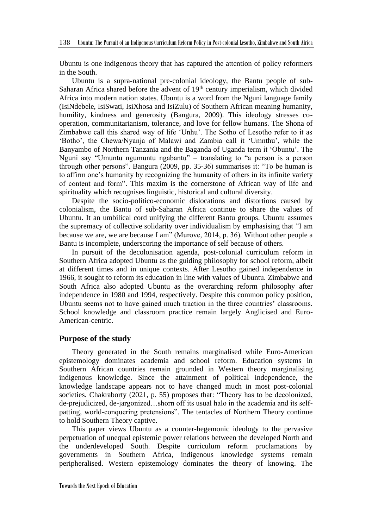Ubuntu is one indigenous theory that has captured the attention of policy reformers in the South.

Ubuntu is a supra-national pre-colonial ideology, the Bantu people of sub-Saharan Africa shared before the advent of  $19<sup>th</sup>$  century imperialism, which divided Africa into modern nation states. Ubuntu is a word from the Nguni language family (IsiNdebele, IsiSwati, IsiXhosa and IsiZulu) of Southern African meaning humanity, humility, kindness and generosity (Bangura, 2009). This ideology stresses cooperation, communitarianism, tolerance, and love for fellow humans. The Shona of Zimbabwe call this shared way of life 'Unhu'. The Sotho of Lesotho refer to it as 'Botho', the Chewa/Nyanja of Malawi and Zambia call it 'Umnthu', while the Banyambo of Northern Tanzania and the Baganda of Uganda term it 'Obuntu'. The Nguni say "Umuntu ngumuntu ngabantu" – translating to "a person is a person through other persons". Bangura (2009, pp. 35-36) summarises it: "To be human is to affirm one's humanity by recognizing the humanity of others in its infinite variety of content and form". This maxim is the cornerstone of African way of life and spirituality which recognises linguistic, historical and cultural diversity.

Despite the socio-politico-economic dislocations and distortions caused by colonialism, the Bantu of sub-Saharan Africa continue to share the values of Ubuntu. It an umbilical cord unifying the different Bantu groups. Ubuntu assumes the supremacy of collective solidarity over individualism by emphasising that "I am because we are, we are because I am" (Murove, 2014, p. 36). Without other people a Bantu is incomplete, underscoring the importance of self because of others.

In pursuit of the decolonisation agenda, post-colonial curriculum reform in Southern Africa adopted Ubuntu as the guiding philosophy for school reform, albeit at different times and in unique contexts. After Lesotho gained independence in 1966, it sought to reform its education in line with values of Ubuntu. Zimbabwe and South Africa also adopted Ubuntu as the overarching reform philosophy after independence in 1980 and 1994, respectively. Despite this common policy position, Ubuntu seems not to have gained much traction in the three countries' classrooms. School knowledge and classroom practice remain largely Anglicised and Euro-American-centric.

#### **Purpose of the study**

Theory generated in the South remains marginalised while Euro-American epistemology dominates academia and school reform. Education systems in Southern African countries remain grounded in Western theory marginalising indigenous knowledge. Since the attainment of political independence, the knowledge landscape appears not to have changed much in most post-colonial societies. Chakraborty (2021, p. 55) proposes that: "Theory has to be decolonized, de-prejudicized, de-jargonized…shorn off its usual halo in the academia and its selfpatting, world-conquering pretensions". The tentacles of Northern Theory continue to hold Southern Theory captive.

This paper views Ubuntu as a counter-hegemonic ideology to the pervasive perpetuation of unequal epistemic power relations between the developed North and the underdeveloped South. Despite curriculum reform proclamations by governments in Southern Africa, indigenous knowledge systems remain peripheralised. Western epistemology dominates the theory of knowing. The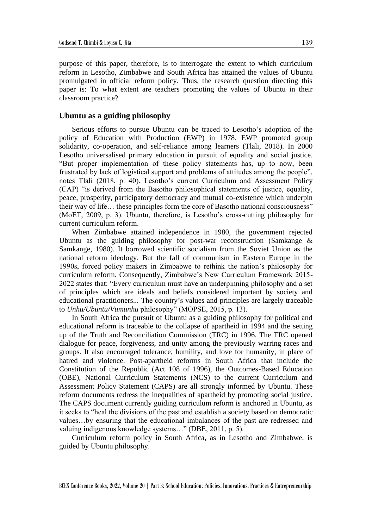purpose of this paper, therefore, is to interrogate the extent to which curriculum reform in Lesotho, Zimbabwe and South Africa has attained the values of Ubuntu promulgated in official reform policy. Thus, the research question directing this paper is: To what extent are teachers promoting the values of Ubuntu in their classroom practice?

#### **Ubuntu as a guiding philosophy**

Serious efforts to pursue Ubuntu can be traced to Lesotho's adoption of the policy of Education with Production (EWP) in 1978. EWP promoted group solidarity, co-operation, and self-reliance among learners (Tlali, 2018). In 2000 Lesotho universalised primary education in pursuit of equality and social justice. "But proper implementation of these policy statements has, up to now, been frustrated by lack of logistical support and problems of attitudes among the people", notes Tlali (2018, p. 40). Lesotho's current Curriculum and Assessment Policy (CAP) "is derived from the Basotho philosophical statements of justice, equality, peace, prosperity, participatory democracy and mutual co-existence which underpin their way of life… these principles form the core of Basotho national consciousness" (MoET, 2009, p. 3). Ubuntu, therefore, is Lesotho's cross-cutting philosophy for current curriculum reform.

When Zimbabwe attained independence in 1980, the government rejected Ubuntu as the guiding philosophy for post-war reconstruction (Samkange  $\&$ Samkange, 1980). It borrowed scientific socialism from the Soviet Union as the national reform ideology. But the fall of communism in Eastern Europe in the 1990s, forced policy makers in Zimbabwe to rethink the nation's philosophy for curriculum reform. Consequently, Zimbabwe's New Curriculum Framework 2015- 2022 states that: "Every curriculum must have an underpinning philosophy and a set of principles which are ideals and beliefs considered important by society and educational practitioners... The country's values and principles are largely traceable to *Unhu/Ubuntu/Vumunhu* philosophy" (MOPSE, 2015, p. 13).

In South Africa the pursuit of Ubuntu as a guiding philosophy for political and educational reform is traceable to the collapse of apartheid in 1994 and the setting up of the Truth and Reconciliation Commission (TRC) in 1996. The TRC opened dialogue for peace, forgiveness, and unity among the previously warring races and groups. It also encouraged tolerance, humility, and love for humanity, in place of hatred and violence. Post-apartheid reforms in South Africa that include the Constitution of the Republic (Act 108 of 1996), the Outcomes-Based Education (OBE), National Curriculum Statements (NCS) to the current Curriculum and Assessment Policy Statement (CAPS) are all strongly informed by Ubuntu. These reform documents redress the inequalities of apartheid by promoting social justice. The CAPS document currently guiding curriculum reform is anchored in Ubuntu, as it seeks to "heal the divisions of the past and establish a society based on democratic values…by ensuring that the educational imbalances of the past are redressed and valuing indigenous knowledge systems…" (DBE, 2011, p. 5).

Curriculum reform policy in South Africa, as in Lesotho and Zimbabwe, is guided by Ubuntu philosophy.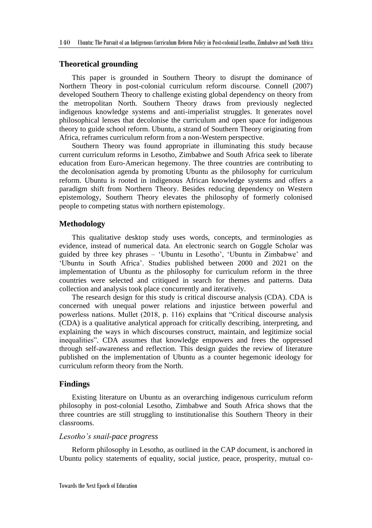#### **Theoretical grounding**

This paper is grounded in Southern Theory to disrupt the dominance of Northern Theory in post-colonial curriculum reform discourse. Connell (2007) developed Southern Theory to challenge existing global dependency on theory from the metropolitan North. Southern Theory draws from previously neglected indigenous knowledge systems and anti-imperialist struggles. It generates novel philosophical lenses that decolonise the curriculum and open space for indigenous theory to guide school reform. Ubuntu, a strand of Southern Theory originating from Africa, reframes curriculum reform from a non-Western perspective.

Southern Theory was found appropriate in illuminating this study because current curriculum reforms in Lesotho, Zimbabwe and South Africa seek to liberate education from Euro-American hegemony. The three countries are contributing to the decolonisation agenda by promoting Ubuntu as the philosophy for curriculum reform. Ubuntu is rooted in indigenous African knowledge systems and offers a paradigm shift from Northern Theory. Besides reducing dependency on Western epistemology, Southern Theory elevates the philosophy of formerly colonised people to competing status with northern epistemology.

#### **Methodology**

This qualitative desktop study uses words, concepts, and terminologies as evidence, instead of numerical data. An electronic search on Goggle Scholar was guided by three key phrases – 'Ubuntu in Lesotho', 'Ubuntu in Zimbabwe' and 'Ubuntu in South Africa'. Studies published between 2000 and 2021 on the implementation of Ubuntu as the philosophy for curriculum reform in the three countries were selected and critiqued in search for themes and patterns. Data collection and analysis took place concurrently and iteratively.

The research design for this study is critical discourse analysis (CDA). CDA is concerned with unequal power relations and injustice between powerful and powerless nations. Mullet (2018, p. 116) explains that "Critical discourse analysis (CDA) is a qualitative analytical approach for critically describing, interpreting, and explaining the ways in which discourses construct, maintain, and legitimize social inequalities". CDA assumes that knowledge empowers and frees the oppressed through self-awareness and reflection. This design guides the review of literature published on the implementation of Ubuntu as a counter hegemonic ideology for curriculum reform theory from the North.

#### **Findings**

Existing literature on Ubuntu as an overarching indigenous curriculum reform philosophy in post-colonial Lesotho, Zimbabwe and South Africa shows that the three countries are still struggling to institutionalise this Southern Theory in their classrooms.

#### *Lesotho's snail-pace progress*

Reform philosophy in Lesotho, as outlined in the CAP document, is anchored in Ubuntu policy statements of equality, social justice, peace, prosperity, mutual co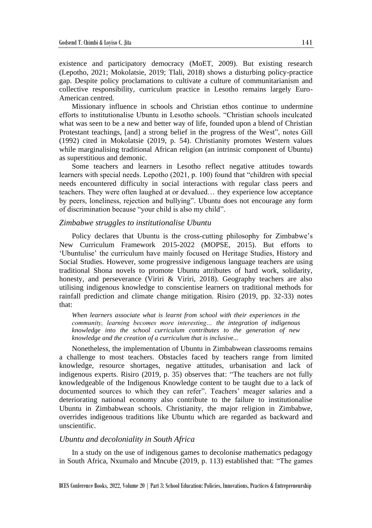existence and participatory democracy (MoET, 2009). But existing research (Lepotho, 2021; Mokolatsie, 2019; Tlali, 2018) shows a disturbing policy-practice gap. Despite policy proclamations to cultivate a culture of communitarianism and collective responsibility, curriculum practice in Lesotho remains largely Euro-American centred.

Missionary influence in schools and Christian ethos continue to undermine efforts to institutionalise Ubuntu in Lesotho schools. "Christian schools inculcated what was seen to be a new and better way of life, founded upon a blend of Christian Protestant teachings, [and] a strong belief in the progress of the West", notes Gill (1992) cited in Mokolatsie (2019, p. 54). Christianity promotes Western values while marginalising traditional African religion (an intrinsic component of Ubuntu) as superstitious and demonic.

Some teachers and learners in Lesotho reflect negative attitudes towards learners with special needs. Lepotho (2021, p. 100) found that "children with special needs encountered difficulty in social interactions with regular class peers and teachers. They were often laughed at or devalued… they experience low acceptance by peers, loneliness, rejection and bullying". Ubuntu does not encourage any form of discrimination because "your child is also my child".

#### *Zimbabwe struggles to institutionalise Ubuntu*

Policy declares that Ubuntu is the cross-cutting philosophy for Zimbabwe's New Curriculum Framework 2015-2022 (MOPSE, 2015). But efforts to 'Ubuntulise' the curriculum have mainly focused on Heritage Studies, History and Social Studies. However, some progressive indigenous language teachers are using traditional Shona novels to promote Ubuntu attributes of hard work, solidarity, honesty, and perseverance (Viriri  $\&$  Viriri, 2018). Geography teachers are also utilising indigenous knowledge to conscientise learners on traditional methods for rainfall prediction and climate change mitigation. Risiro (2019, pp. 32-33) notes that:

*When learners associate what is learnt from school with their experiences in the community, learning becomes more interesting… the integration of indigenous knowledge into the school curriculum contributes to the generation of new knowledge and the creation of a curriculum that is inclusive...*

Nonetheless, the implementation of Ubuntu in Zimbabwean classrooms remains a challenge to most teachers. Obstacles faced by teachers range from limited knowledge, resource shortages, negative attitudes, urbanisation and lack of indigenous experts. Risiro (2019, p. 35) observes that: "The teachers are not fully knowledgeable of the Indigenous Knowledge content to be taught due to a lack of documented sources to which they can refer". Teachers' meager salaries and a deteriorating national economy also contribute to the failure to institutionalise Ubuntu in Zimbabwean schools. Christianity, the major religion in Zimbabwe, overrides indigenous traditions like Ubuntu which are regarded as backward and unscientific.

#### *Ubuntu and decoloniality in South Africa*

In a study on the use of indigenous games to decolonise mathematics pedagogy in South Africa, Nxumalo and Mncube (2019, p. 113) established that: "The games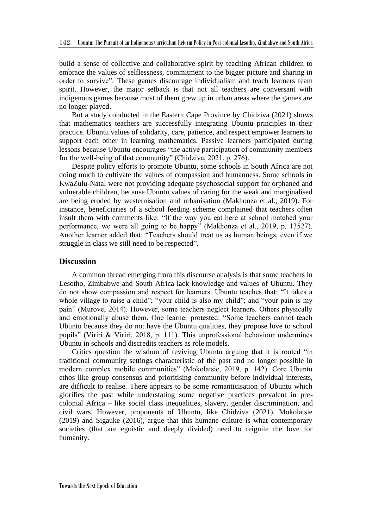build a sense of collective and collaborative spirit by teaching African children to embrace the values of selflessness, commitment to the bigger picture and sharing in order to survive". These games discourage individualism and teach learners team spirit. However, the major setback is that not all teachers are conversant with indigenous games because most of them grew up in urban areas where the games are no longer played.

But a study conducted in the Eastern Cape Province by Chidziva (2021) shows that mathematics teachers are successfully integrating Ubuntu principles in their practice. Ubuntu values of solidarity, care, patience, and respect empower learners to support each other in learning mathematics. Passive learners participated during lessons because Ubuntu encourages "the active participation of community members for the well-being of that community" (Chidziva, 2021, p. 276).

Despite policy efforts to promote Ubuntu, some schools in South Africa are not doing much to cultivate the values of compassion and humanness. Some schools in KwaZulu-Natal were not providing adequate psychosocial support for orphaned and vulnerable children, because Ubuntu values of caring for the weak and marginalised are being eroded by westernisation and urbanisation (Makhonza et al., 2019). For instance, beneficiaries of a school feeding scheme complained that teachers often insult them with comments like: "If the way you eat here at school matched your performance, we were all going to be happy" (Makhonza et al., 2019, p. 13527). Another learner added that: "Teachers should treat us as human beings, even if we struggle in class we still need to be respected".

#### **Discussion**

A common thread emerging from this discourse analysis is that some teachers in Lesotho, Zimbabwe and South Africa lack knowledge and values of Ubuntu. They do not show compassion and respect for learners. Ubuntu teaches that: "It takes a whole village to raise a child"; "your child is also my child"; and "your pain is my pain" (Murove, 2014). However, some teachers neglect learners. Others physically and emotionally abuse them. One learner protested: "Some teachers cannot teach Ubuntu because they do not have the Ubuntu qualities, they propose love to school pupils" (Viriri & Viriri, 2018, p. 111). This unprofessional behaviour undermines Ubuntu in schools and discredits teachers as role models.

Critics question the wisdom of reviving Ubuntu arguing that it is rooted "in traditional community settings characteristic of the past and no longer possible in modern complex mobile communities" (Mokolatsie, 2019, p. 142). Core Ubuntu ethos like group consensus and prioritising community before individual interests, are difficult to realise. There appears to be some romanticisation of Ubuntu which glorifies the past while understating some negative practices prevalent in precolonial Africa – like social class inequalities, slavery, gender discrimination, and civil wars. However, proponents of Ubuntu, like Chidziva (2021), Mokolatsie (2019) and Sigauke (2016), argue that this humane culture is what contemporary societies (that are egoistic and deeply divided) need to reignite the love for humanity.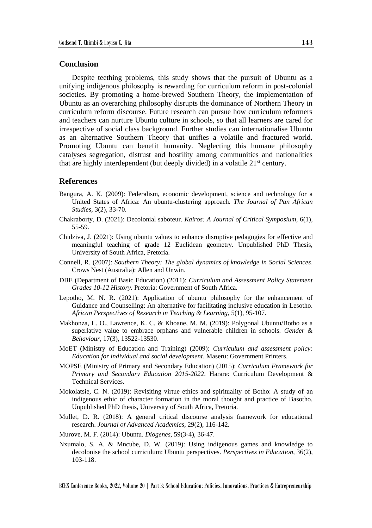#### **Conclusion**

Despite teething problems, this study shows that the pursuit of Ubuntu as a unifying indigenous philosophy is rewarding for curriculum reform in post-colonial societies. By promoting a home-brewed Southern Theory, the implementation of Ubuntu as an overarching philosophy disrupts the dominance of Northern Theory in curriculum reform discourse. Future research can pursue how curriculum reformers and teachers can nurture Ubuntu culture in schools, so that all learners are cared for irrespective of social class background. Further studies can internationalise Ubuntu as an alternative Southern Theory that unifies a volatile and fractured world. Promoting Ubuntu can benefit humanity. Neglecting this humane philosophy catalyses segregation, distrust and hostility among communities and nationalities that are highly interdependent (but deeply divided) in a volatile 21<sup>st</sup> century.

#### **References**

- Bangura, A. K. (2009): Federalism, economic development, science and technology for a United States of Africa: An ubuntu-clustering approach. *The Journal of Pan African Studies*, 3(2), 33-70.
- Chakraborty, D. (2021): Decolonial saboteur. *Kairos: A Journal of Critical Symposium*, 6(1), 55-59.
- Chidziva, J. (2021): Using ubuntu values to enhance disruptive pedagogies for effective and meaningful teaching of grade 12 Euclidean geometry. Unpublished PhD Thesis, University of South Africa, Pretoria.
- Connell, R. (2007): *Southern Theory: The global dynamics of knowledge in Social Sciences*. Crows Nest (Australia): Allen and Unwin.
- DBE (Department of Basic Education) (2011): *Curriculum and Assessment Policy Statement Grades 10-12 History*. Pretoria: Government of South Africa.
- Lepotho, M. N. R. (2021): Application of ubuntu philosophy for the enhancement of Guidance and Counselling: An alternative for facilitating inclusive education in Lesotho. *African Perspectives of Research in Teaching & Learning*, 5(1), 95-107.
- Makhonza, L. O., Lawrence, K. C. & Khoane, M. M. (2019): Polygonal Ubuntu/Botho as a superlative value to embrace orphans and vulnerable children in schools. *Gender & Behaviour*, 17(3), 13522-13530.
- MoET (Ministry of Education and Training) (2009): *Curriculum and assessment policy: Education for individual and social development*. Maseru: Government Printers.
- MOPSE (Ministry of Primary and Secondary Education) (2015): *Curriculum Framework for Primary and Secondary Education 2015-2022*. Harare: Curriculum Development & Technical Services.
- Mokolatsie, C. N. (2019): Revisiting virtue ethics and spirituality of Botho: A study of an indigenous ethic of character formation in the moral thought and practice of Basotho. Unpublished PhD thesis, University of South Africa, Pretoria.
- Mullet, D. R. (2018): A general critical discourse analysis framework for educational research. *Journal of Advanced Academics*, 29(2), 116-142.
- Murove, M. F. (2014): Ubuntu. *Diogenes*, 59(3-4), 36-47.
- Nxumalo, S. A. & Mncube, D. W. (2019): Using indigenous games and knowledge to decolonise the school curriculum: Ubuntu perspectives. *Perspectives in Education*, 36(2), 103-118.

BCES Conference Books, 2022, Volume 20 | Part 3: School Education: Policies, Innovations, Practices & Entrepreneurship